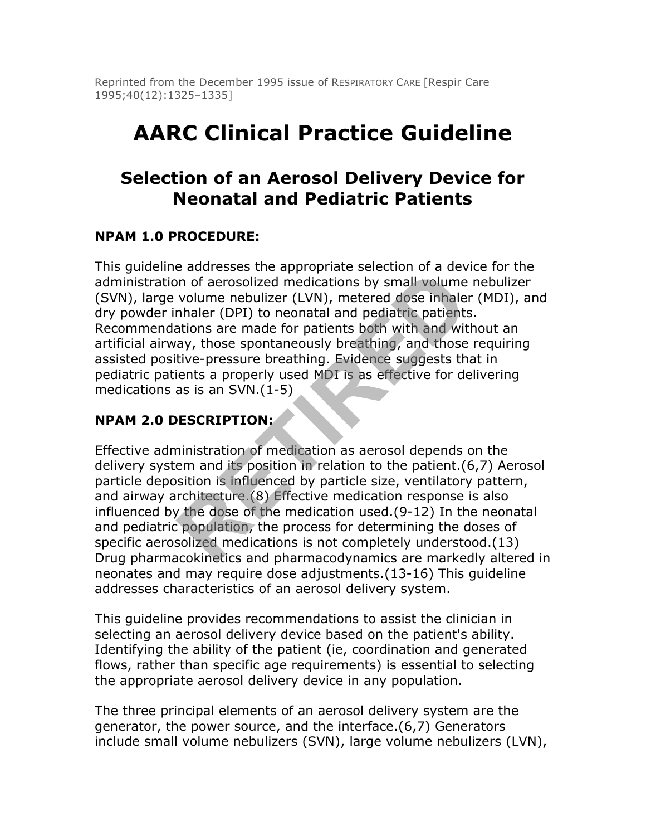Reprinted from the December 1995 issue of RESPIRATORY CARE [Respir Care 1995;40(12):1325–1335]

# **AARC Clinical Practice Guideline**

## **Selection of an Aerosol Delivery Device for Neonatal and Pediatric Patients**

#### **NPAM 1.0 PROCEDURE:**

This guideline addresses the appropriate selection of a device for the administration of aerosolized medications by small volume nebulizer (SVN), large volume nebulizer (LVN), metered dose inhaler (MDI), and dry powder inhaler (DPI) to neonatal and pediatric patients. Recommendations are made for patients both with and without an artificial airway, those spontaneously breathing, and those requiring assisted positive-pressure breathing. Evidence suggests that in pediatric patients a properly used MDI is as effective for delivering medications as is an SVN.(1-5) or account the process and provides and providents of a renosolized medications by small volume<br>volume nebulizer (LVN), metered dose inhale<br>volume nebulizer (LVN), metered dose inhale<br>thations are made for patients both wi

#### **NPAM 2.0 DESCRIPTION:**

Effective administration of medication as aerosol depends on the delivery system and its position in relation to the patient.(6,7) Aerosol particle deposition is influenced by particle size, ventilatory pattern, and airway architecture.(8) Effective medication response is also influenced by the dose of the medication used.(9-12) In the neonatal and pediatric population, the process for determining the doses of specific aerosolized medications is not completely understood.(13) Drug pharmacokinetics and pharmacodynamics are markedly altered in neonates and may require dose adjustments.(13-16) This guideline addresses characteristics of an aerosol delivery system.

This guideline provides recommendations to assist the clinician in selecting an aerosol delivery device based on the patient's ability. Identifying the ability of the patient (ie, coordination and generated flows, rather than specific age requirements) is essential to selecting the appropriate aerosol delivery device in any population.

The three principal elements of an aerosol delivery system are the generator, the power source, and the interface.(6,7) Generators include small volume nebulizers (SVN), large volume nebulizers (LVN),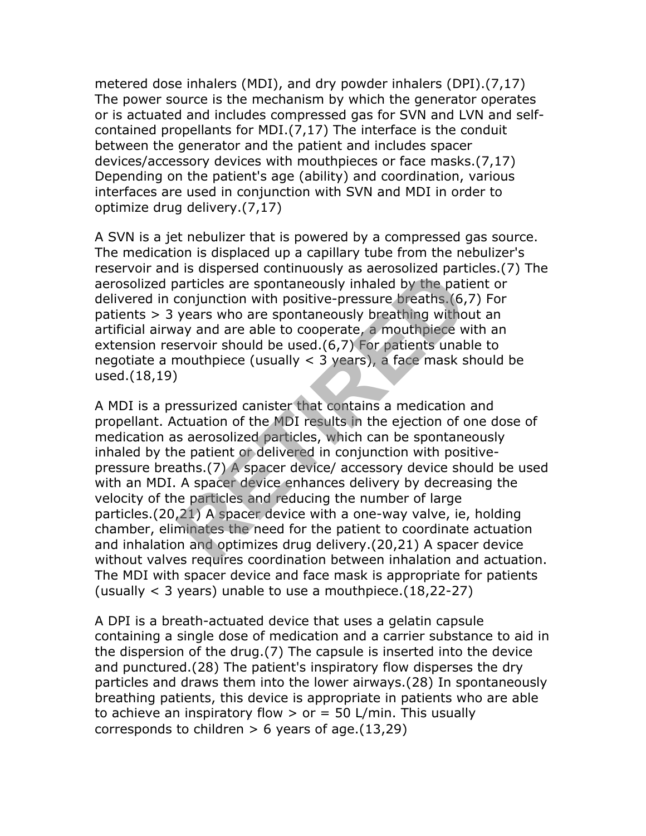metered dose inhalers (MDI), and dry powder inhalers (DPI).(7,17) The power source is the mechanism by which the generator operates or is actuated and includes compressed gas for SVN and LVN and selfcontained propellants for MDI.(7,17) The interface is the conduit between the generator and the patient and includes spacer devices/accessory devices with mouthpieces or face masks.(7,17) Depending on the patient's age (ability) and coordination, various interfaces are used in conjunction with SVN and MDI in order to optimize drug delivery.(7,17)

A SVN is a jet nebulizer that is powered by a compressed gas source. The medication is displaced up a capillary tube from the nebulizer's reservoir and is dispersed continuously as aerosolized particles.(7) The aerosolized particles are spontaneously inhaled by the patient or delivered in conjunction with positive-pressure breaths.(6,7) For patients > 3 years who are spontaneously breathing without an artificial airway and are able to cooperate, a mouthpiece with an extension reservoir should be used.(6,7) For patients unable to negotiate a mouthpiece (usually < 3 years), a face mask should be used.(18,19)

A MDI is a pressurized canister that contains a medication and propellant. Actuation of the MDI results in the ejection of one dose of medication as aerosolized particles, which can be spontaneously inhaled by the patient or delivered in conjunction with positivepressure breaths.(7) A spacer device/ accessory device should be used with an MDI. A spacer device enhances delivery by decreasing the velocity of the particles and reducing the number of large particles.(20,21) A spacer device with a one-way valve, ie, holding chamber, eliminates the need for the patient to coordinate actuation and inhalation and optimizes drug delivery.(20,21) A spacer device without valves requires coordination between inhalation and actuation. The MDI with spacer device and face mask is appropriate for patients (usually < 3 years) unable to use a mouthpiece.(18,22-27) articles are spontaneously as acrosolized particles are spontaneously inhaled by the paticonjunction with positive-pressure breaths. (6, years who are spontaneously breathing witho ay and are able to cooperate, a mouthpiec

A DPI is a breath-actuated device that uses a gelatin capsule containing a single dose of medication and a carrier substance to aid in the dispersion of the drug.(7) The capsule is inserted into the device and punctured.(28) The patient's inspiratory flow disperses the dry particles and draws them into the lower airways.(28) In spontaneously breathing patients, this device is appropriate in patients who are able to achieve an inspiratory flow  $>$  or = 50 L/min. This usually corresponds to children  $> 6$  years of age.  $(13,29)$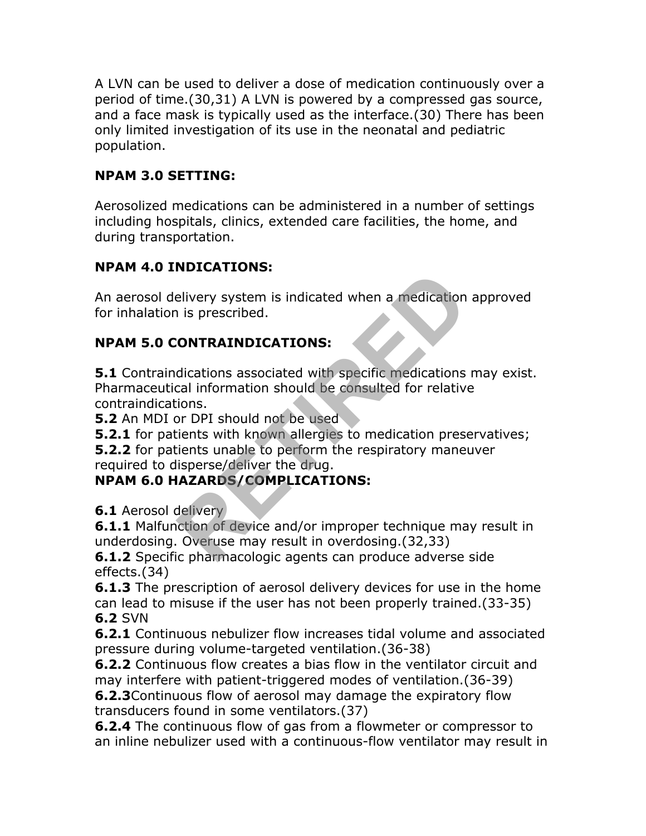A LVN can be used to deliver a dose of medication continuously over a period of time.(30,31) A LVN is powered by a compressed gas source, and a face mask is typically used as the interface.(30) There has been only limited investigation of its use in the neonatal and pediatric population.

### **NPAM 3.0 SETTING:**

Aerosolized medications can be administered in a number of settings including hospitals, clinics, extended care facilities, the home, and during transportation.

#### **NPAM 4.0 INDICATIONS:**

An aerosol delivery system is indicated when a medication approved for inhalation is prescribed.

#### **NPAM 5.0 CONTRAINDICATIONS:**

**5.1** Contraindications associated with specific medications may exist. Pharmaceutical information should be consulted for relative contraindications. **Example 18 Indicated when a medication**<br> **RETIREM IS prescribed.**<br> **RETIREM IS prescribed.**<br> **RETIREM IS prescribed.**<br> **RETIREM IS all information should be consulted for relative**<br> **RETIREM IS in the set of the set of th** 

**5.2** An MDI or DPI should not be used

**5.2.1** for patients with known allergies to medication preservatives;

**5.2.2** for patients unable to perform the respiratory maneuver required to disperse/deliver the drug.

#### **NPAM 6.0 HAZARDS/COMPLICATIONS:**

**6.1** Aerosol delivery

**6.1.1** Malfunction of device and/or improper technique may result in underdosing. Overuse may result in overdosing.(32,33)

**6.1.2** Specific pharmacologic agents can produce adverse side effects.(34)

**6.1.3** The prescription of aerosol delivery devices for use in the home can lead to misuse if the user has not been properly trained.(33-35) **6.2** SVN

**6.2.1** Continuous nebulizer flow increases tidal volume and associated pressure during volume-targeted ventilation.(36-38)

**6.2.2** Continuous flow creates a bias flow in the ventilator circuit and may interfere with patient-triggered modes of ventilation.(36-39)

**6.2.3**Continuous flow of aerosol may damage the expiratory flow transducers found in some ventilators.(37)

**6.2.4** The continuous flow of gas from a flowmeter or compressor to an inline nebulizer used with a continuous-flow ventilator may result in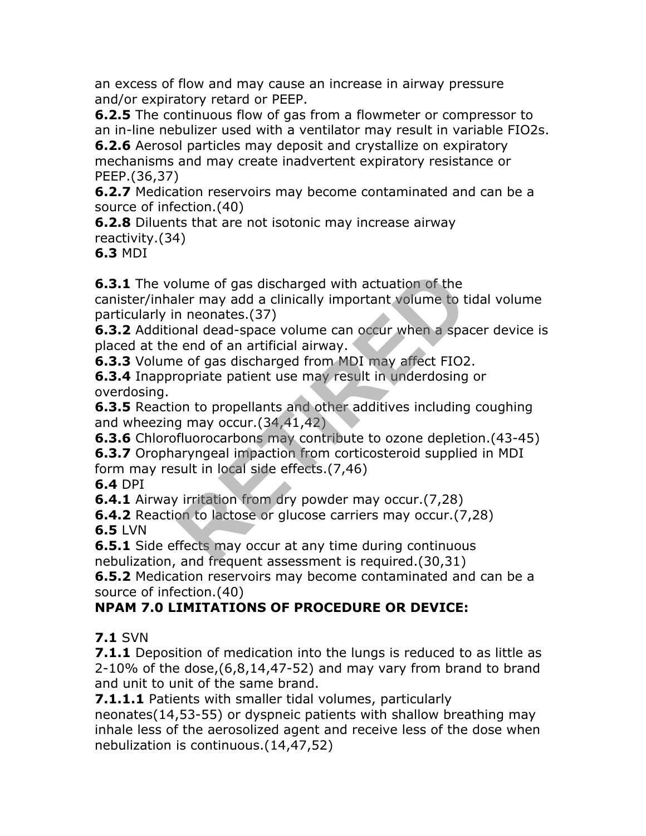an excess of flow and may cause an increase in airway pressure and/or expiratory retard or PEEP.

**6.2.5** The continuous flow of gas from a flowmeter or compressor to an in-line nebulizer used with a ventilator may result in variable FIO2s.

**6.2.6** Aerosol particles may deposit and crystallize on expiratory mechanisms and may create inadvertent expiratory resistance or PEEP.(36,37)

**6.2.7** Medication reservoirs may become contaminated and can be a source of infection.(40)

**6.2.8** Diluents that are not isotonic may increase airway reactivity.(34)

**6.3** MDI

**6.3.1** The volume of gas discharged with actuation of the canister/inhaler may add a clinically important volume to tidal volume particularly in neonates.(37) blume of gas discharged with actuation of the<br>ller may add a clinically important volume to t<br>n neonates.(37)<br>anal dead-space volume can occur when a spa<br>e of gas discharged from MDI may affect FIO2<br>opriate patient use may

**6.3.2** Additional dead-space volume can occur when a spacer device is placed at the end of an artificial airway.

**6.3.3** Volume of gas discharged from MDI may affect FIO2.

**6.3.4** Inappropriate patient use may result in underdosing or overdosing.

**6.3.5** Reaction to propellants and other additives including coughing and wheezing may occur.(34,41,42)

**6.3.6** Chlorofluorocarbons may contribute to ozone depletion.(43-45)

**6.3.7** Oropharyngeal impaction from corticosteroid supplied in MDI form may result in local side effects.(7,46)

**6.4** DPI

**6.4.1** Airway irritation from dry powder may occur.(7,28)

**6.4.2** Reaction to lactose or glucose carriers may occur.(7,28) **6.5** LVN

**6.5.1** Side effects may occur at any time during continuous nebulization, and frequent assessment is required.(30,31)

**6.5.2** Medication reservoirs may become contaminated and can be a source of infection.(40)

## **NPAM 7.0 LIMITATIONS OF PROCEDURE OR DEVICE:**

**7.1** SVN

**7.1.1** Deposition of medication into the lungs is reduced to as little as 2-10% of the dose,(6,8,14,47-52) and may vary from brand to brand and unit to unit of the same brand.

**7.1.1.1** Patients with smaller tidal volumes, particularly neonates(14,53-55) or dyspneic patients with shallow breathing may inhale less of the aerosolized agent and receive less of the dose when nebulization is continuous.(14,47,52)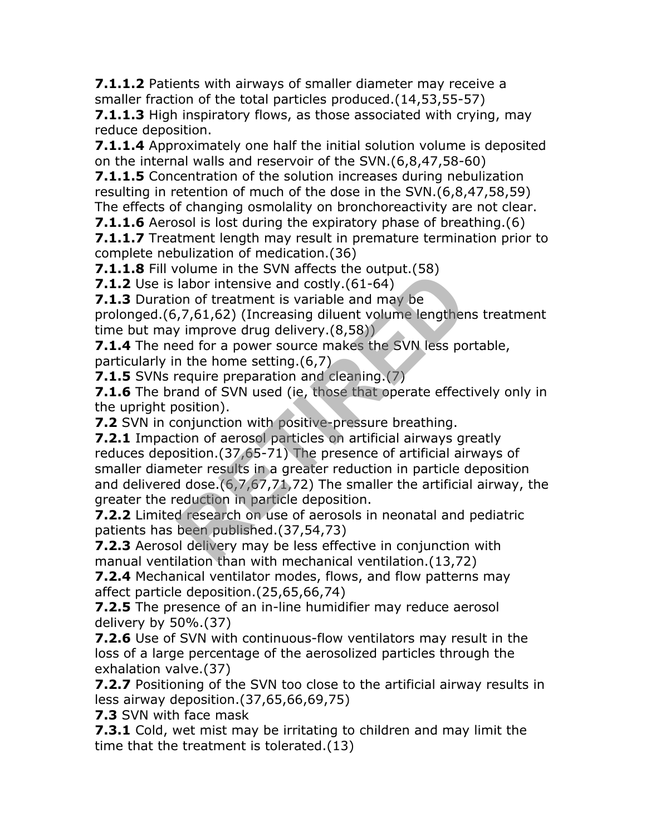**7.1.1.2** Patients with airways of smaller diameter may receive a smaller fraction of the total particles produced.(14,53,55-57)

**7.1.1.3** High inspiratory flows, as those associated with crying, may reduce deposition.

**7.1.1.4** Approximately one half the initial solution volume is deposited on the internal walls and reservoir of the SVN.(6,8,47,58-60)

**7.1.1.5** Concentration of the solution increases during nebulization resulting in retention of much of the dose in the SVN.(6,8,47,58,59) The effects of changing osmolality on bronchoreactivity are not clear.

**7.1.1.6** Aerosol is lost during the expiratory phase of breathing.(6)

**7.1.1.7** Treatment length may result in premature termination prior to complete nebulization of medication.(36)

**7.1.1.8** Fill volume in the SVN affects the output.(58)

**7.1.2** Use is labor intensive and costly. (61-64)

**7.1.3** Duration of treatment is variable and may be

prolonged.(6,7,61,62) (Increasing diluent volume lengthens treatment time but may improve drug delivery.(8,58))

**7.1.4** The need for a power source makes the SVN less portable, particularly in the home setting.(6,7)

**7.1.5** SVNs require preparation and cleaning.(7)

**7.1.6** The brand of SVN used (ie, those that operate effectively only in the upright position).

**7.2** SVN in conjunction with positive-pressure breathing.

**7.2.1** Impaction of aerosol particles on artificial airways greatly reduces deposition.(37,65-71) The presence of artificial airways of smaller diameter results in a greater reduction in particle deposition and delivered dose.(6,7,67,71,72) The smaller the artificial airway, the greater the reduction in particle deposition. From the set of the set of the set of the product of the product of the product of the set of the set of the set of the set of the set of the set of the set of the set of the set of the set of the set of the set of the se

**7.2.2** Limited research on use of aerosols in neonatal and pediatric patients has been published.(37,54,73)

**7.2.3** Aerosol delivery may be less effective in conjunction with manual ventilation than with mechanical ventilation.(13,72)

**7.2.4** Mechanical ventilator modes, flows, and flow patterns may affect particle deposition.(25,65,66,74)

**7.2.5** The presence of an in-line humidifier may reduce aerosol delivery by 50%.(37)

**7.2.6** Use of SVN with continuous-flow ventilators may result in the loss of a large percentage of the aerosolized particles through the exhalation valve.(37)

**7.2.7** Positioning of the SVN too close to the artificial airway results in less airway deposition.(37,65,66,69,75)

**7.3** SVN with face mask

**7.3.1** Cold, wet mist may be irritating to children and may limit the time that the treatment is tolerated.(13)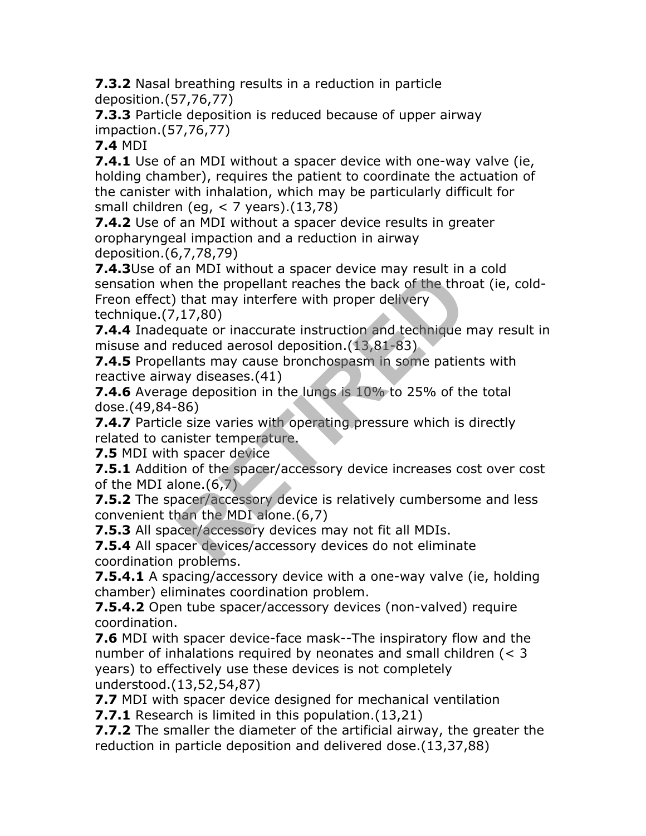**7.3.2** Nasal breathing results in a reduction in particle deposition.(57,76,77)

**7.3.3** Particle deposition is reduced because of upper airway impaction.(57,76,77)

**7.4** MDI

**7.4.1** Use of an MDI without a spacer device with one-way valve (ie, holding chamber), requires the patient to coordinate the actuation of the canister with inhalation, which may be particularly difficult for small children (eg, < 7 years).(13,78)

**7.4.2** Use of an MDI without a spacer device results in greater oropharyngeal impaction and a reduction in airway deposition.(6,7,78,79)

**7.4.3**Use of an MDI without a spacer device may result in a cold sensation when the propellant reaches the back of the throat (ie, cold-Freon effect) that may interfere with proper delivery technique.(7,17,80) an FIDI without a spacer device may result in<br>the that may interfere with proper delivery<br>,17,80)<br>quate or inaccurate instruction and technique in<br>educed aerosol deposition. (13,81-83)<br>lants may cause bronchospasm in some

**7.4.4** Inadequate or inaccurate instruction and technique may result in misuse and reduced aerosol deposition.(13,81-83)

**7.4.5** Propellants may cause bronchospasm in some patients with reactive airway diseases.(41)

**7.4.6** Average deposition in the lungs is 10% to 25% of the total dose.(49,84-86)

**7.4.7** Particle size varies with operating pressure which is directly related to canister temperature.

**7.5** MDI with spacer device

**7.5.1** Addition of the spacer/accessory device increases cost over cost of the MDI alone.(6,7)

**7.5.2** The spacer/accessory device is relatively cumbersome and less convenient than the MDI alone.(6,7)

**7.5.3** All spacer/accessory devices may not fit all MDIs.

**7.5.4** All spacer devices/accessory devices do not eliminate coordination problems.

**7.5.4.1** A spacing/accessory device with a one-way valve (ie, holding chamber) eliminates coordination problem.

**7.5.4.2** Open tube spacer/accessory devices (non-valved) require coordination.

**7.6** MDI with spacer device-face mask--The inspiratory flow and the number of inhalations required by neonates and small children (< 3 years) to effectively use these devices is not completely understood.(13,52,54,87)

**7.7** MDI with spacer device designed for mechanical ventilation

**7.7.1** Research is limited in this population.(13,21)

**7.7.2** The smaller the diameter of the artificial airway, the greater the reduction in particle deposition and delivered dose.(13,37,88)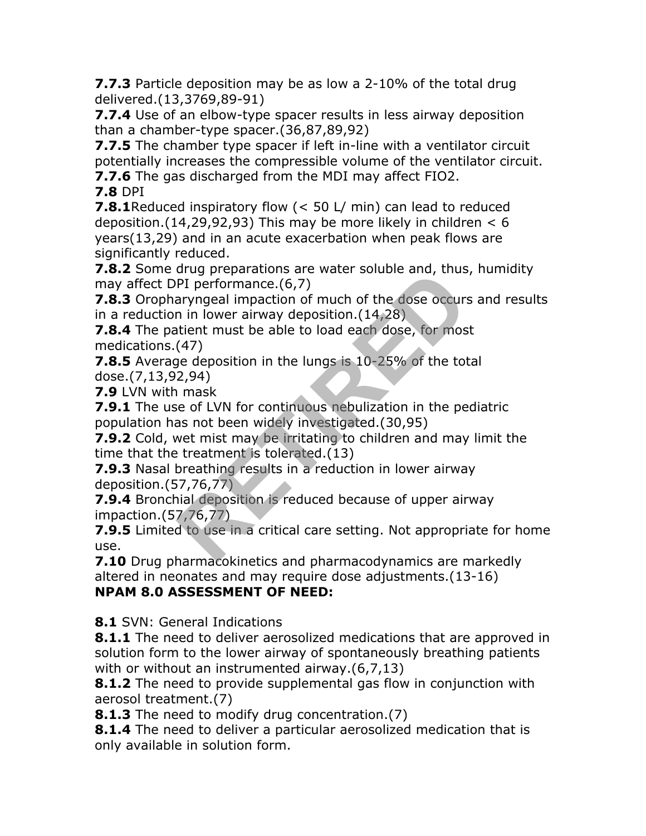**7.7.3** Particle deposition may be as low a 2-10% of the total drug delivered.(13,3769,89-91)

**7.7.4** Use of an elbow-type spacer results in less airway deposition than a chamber-type spacer.(36,87,89,92)

**7.7.5** The chamber type spacer if left in-line with a ventilator circuit potentially increases the compressible volume of the ventilator circuit.

**7.7.6** The gas discharged from the MDI may affect FIO2.

**7.8** DPI

**7.8.1**Reduced inspiratory flow (< 50 L/ min) can lead to reduced deposition.(14,29,92,93) This may be more likely in children  $< 6$ years(13,29) and in an acute exacerbation when peak flows are significantly reduced.

**7.8.2** Some drug preparations are water soluble and, thus, humidity may affect DPI performance.(6,7)

**7.8.3** Oropharyngeal impaction of much of the dose occurs and results in a reduction in lower airway deposition.(14,28)

**7.8.4** The patient must be able to load each dose, for most medications.(47)

**7.8.5** Average deposition in the lungs is 10-25% of the total dose.(7,13,92,94)

**7.9** LVN with mask

**7.9.1** The use of LVN for continuous nebulization in the pediatric population has not been widely investigated.(30,95)

**7.9.2** Cold, wet mist may be irritating to children and may limit the time that the treatment is tolerated.(13) Proposition of much of the dose occurs<br>
PI performance. (6,7)<br>
n in lower airway deposition. (14,28)<br>
then must be able to load each dose, for mos<br>
(47)<br>
ge deposition in the lungs is 10-25% of the tot<br>
2,94)<br>
mask<br>
e of L

**7.9.3** Nasal breathing results in a reduction in lower airway deposition.(57,76,77)

**7.9.4** Bronchial deposition is reduced because of upper airway impaction.(57,76,77)

**7.9.5** Limited to use in a critical care setting. Not appropriate for home use.

**7.10** Drug pharmacokinetics and pharmacodynamics are markedly altered in neonates and may require dose adjustments.(13-16) **NPAM 8.0 ASSESSMENT OF NEED:**

**8.1** SVN: General Indications

**8.1.1** The need to deliver aerosolized medications that are approved in solution form to the lower airway of spontaneously breathing patients with or without an instrumented airway.(6,7,13)

**8.1.2** The need to provide supplemental gas flow in conjunction with aerosol treatment.(7)

**8.1.3** The need to modify drug concentration.(7)

**8.1.4** The need to deliver a particular aerosolized medication that is only available in solution form.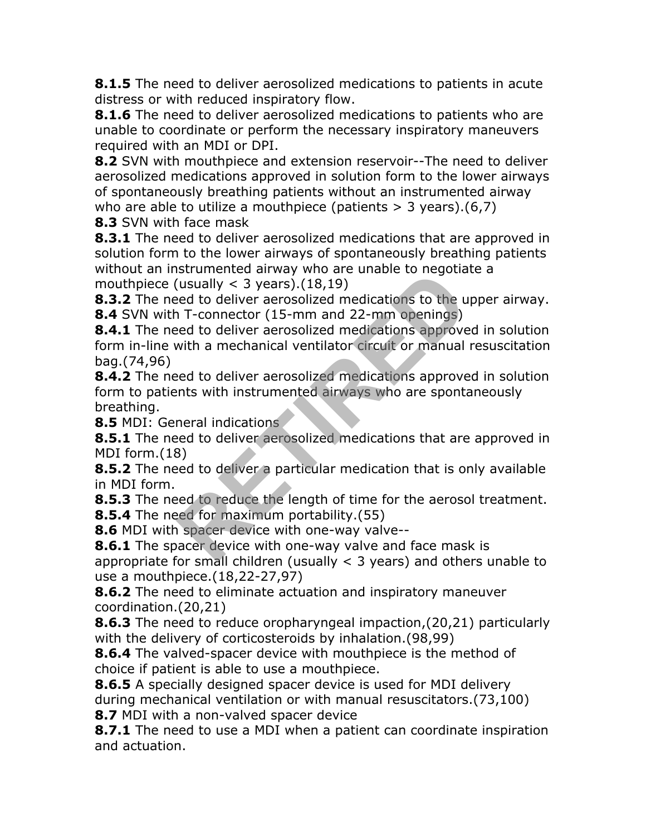**8.1.5** The need to deliver aerosolized medications to patients in acute distress or with reduced inspiratory flow.

**8.1.6** The need to deliver aerosolized medications to patients who are unable to coordinate or perform the necessary inspiratory maneuvers required with an MDI or DPI.

**8.2** SVN with mouthpiece and extension reservoir--The need to deliver aerosolized medications approved in solution form to the lower airways of spontaneously breathing patients without an instrumented airway who are able to utilize a mouthpiece (patients  $>$  3 years).(6,7)

**8.3** SVN with face mask

**8.3.1** The need to deliver aerosolized medications that are approved in solution form to the lower airways of spontaneously breathing patients without an instrumented airway who are unable to negotiate a mouthpiece (usually  $<$  3 years).(18,19)

**8.3.2** The need to deliver aerosolized medications to the upper airway. **8.4** SVN with T-connector (15-mm and 22-mm openings)

**8.4.1** The need to deliver aerosolized medications approved in solution form in-line with a mechanical ventilator circuit or manual resuscitation bag.(74,96) Islamiented all way wind all all like to regold<br>(usually < 3 years).(18,19)<br>
In T-connector (15-mm and 22-mm openings)<br>
eed to deliver aerosolized medications approve<br>
with a mechanical ventilator circuit or manual<br>
eed to

**8.4.2** The need to deliver aerosolized medications approved in solution form to patients with instrumented airways who are spontaneously breathing.

**8.5** MDI: General indications

**8.5.1** The need to deliver aerosolized medications that are approved in MDI form.(18)

**8.5.2** The need to deliver a particular medication that is only available in MDI form.

**8.5.3** The need to reduce the length of time for the aerosol treatment. **8.5.4** The need for maximum portability.(55)

**8.6** MDI with spacer device with one-way valve--

**8.6.1** The spacer device with one-way valve and face mask is appropriate for small children (usually  $\lt$  3 years) and others unable to use a mouthpiece.(18,22-27,97)

**8.6.2** The need to eliminate actuation and inspiratory maneuver coordination.(20,21)

**8.6.3** The need to reduce oropharyngeal impaction,(20,21) particularly with the delivery of corticosteroids by inhalation.(98,99)

**8.6.4** The valved-spacer device with mouthpiece is the method of choice if patient is able to use a mouthpiece.

**8.6.5** A specially designed spacer device is used for MDI delivery during mechanical ventilation or with manual resuscitators.(73,100) **8.7** MDI with a non-valved spacer device

**8.7.1** The need to use a MDI when a patient can coordinate inspiration and actuation.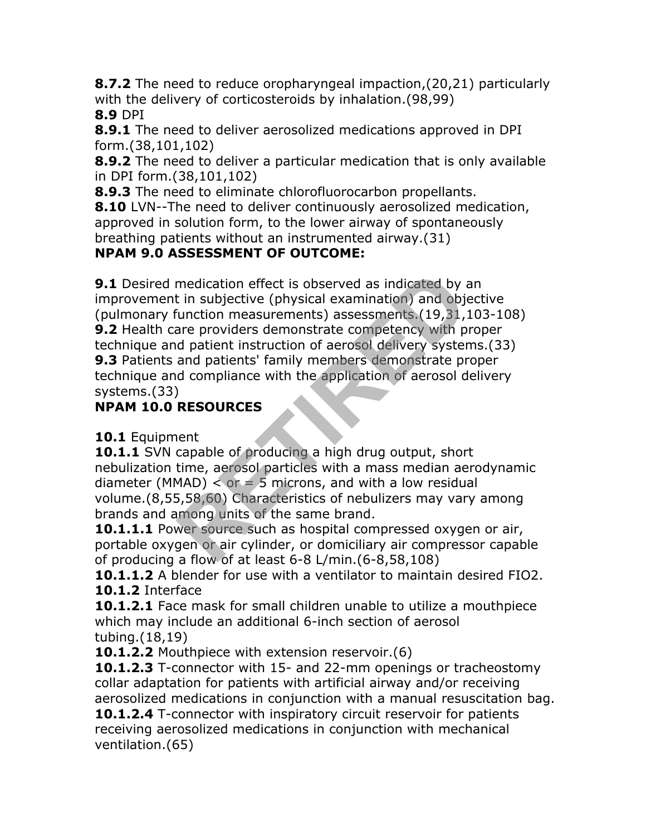**8.7.2** The need to reduce oropharyngeal impaction,(20,21) particularly with the delivery of corticosteroids by inhalation.(98,99) **8.9** DPI

**8.9.1** The need to deliver aerosolized medications approved in DPI form.(38,101,102)

**8.9.2** The need to deliver a particular medication that is only available in DPI form.(38,101,102)

**8.9.3** The need to eliminate chlorofluorocarbon propellants.

**8.10** LVN--The need to deliver continuously aerosolized medication, approved in solution form, to the lower airway of spontaneously breathing patients without an instrumented airway.(31)

#### **NPAM 9.0 ASSESSMENT OF OUTCOME:**

**9.1** Desired medication effect is observed as indicated by an improvement in subjective (physical examination) and objective (pulmonary function measurements) assessments.(19,31,103-108) **9.2** Health care providers demonstrate competency with proper technique and patient instruction of aerosol delivery systems.(33) **9.3** Patients and patients' family members demonstrate proper technique and compliance with the application of aerosol delivery systems.(33) medication effect is observed as indicated by a<br>
t in subjective (physical examination) and object<br>
inction measurements) assessments (19,31,<br>
iare providers demonstrate competency with p<br>
d patient instruction of aerosol

## **NPAM 10.0 RESOURCES**

#### **10.1** Equipment

**10.1.1** SVN capable of producing a high drug output, short nebulization time, aerosol particles with a mass median aerodynamic diameter (MMAD)  $\lt$  or  $=$  5 microns, and with a low residual volume.(8,55,58,60) Characteristics of nebulizers may vary among brands and among units of the same brand.

**10.1.1.1** Power source such as hospital compressed oxygen or air, portable oxygen or air cylinder, or domiciliary air compressor capable of producing a flow of at least 6-8 L/min.(6-8,58,108)

**10.1.1.2** A blender for use with a ventilator to maintain desired FIO2. **10.1.2** Interface

**10.1.2.1** Face mask for small children unable to utilize a mouthpiece which may include an additional 6-inch section of aerosol tubing.(18,19)

**10.1.2.2** Mouthpiece with extension reservoir.(6)

**10.1.2.3** T-connector with 15- and 22-mm openings or tracheostomy collar adaptation for patients with artificial airway and/or receiving aerosolized medications in conjunction with a manual resuscitation bag.

**10.1.2.4** T-connector with inspiratory circuit reservoir for patients receiving aerosolized medications in conjunction with mechanical ventilation.(65)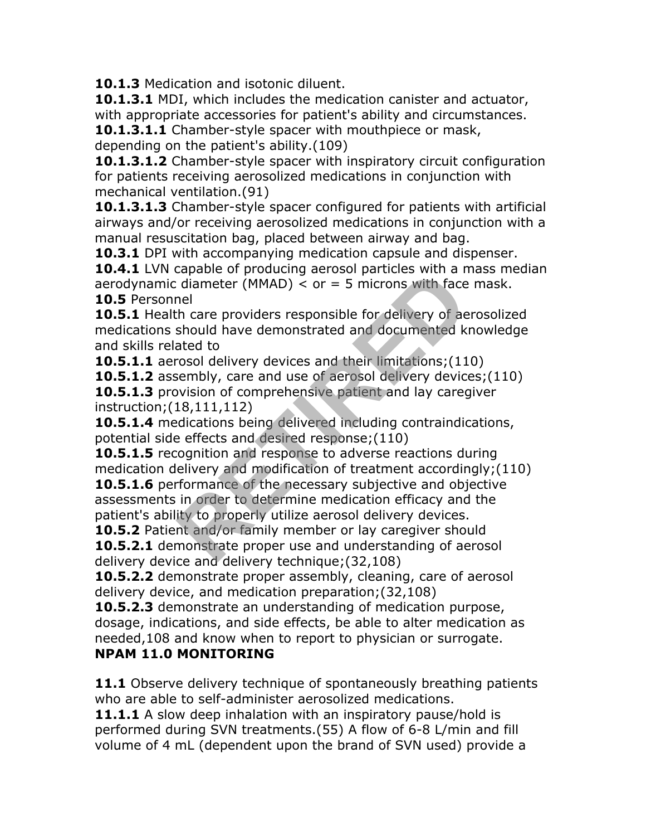**10.1.3** Medication and isotonic diluent.

**10.1.3.1** MDI, which includes the medication canister and actuator, with appropriate accessories for patient's ability and circumstances.

**10.1.3.1.1** Chamber-style spacer with mouthpiece or mask, depending on the patient's ability.(109)

10.1.3.1.2 Chamber-style spacer with inspiratory circuit configuration for patients receiving aerosolized medications in conjunction with mechanical ventilation.(91)

**10.1.3.1.3** Chamber-style spacer configured for patients with artificial airways and/or receiving aerosolized medications in conjunction with a manual resuscitation bag, placed between airway and bag.

**10.3.1** DPI with accompanying medication capsule and dispenser.

**10.4.1** LVN capable of producing aerosol particles with a mass median aerodynamic diameter (MMAD)  $\lt$  or = 5 microns with face mask. **10.5** Personnel

**10.5.1** Health care providers responsible for delivery of aerosolized medications should have demonstrated and documented knowledge and skills related to

**10.5.1.1** aerosol delivery devices and their limitations;(110)

**10.5.1.2** assembly, care and use of aerosol delivery devices;(110)

**10.5.1.3** provision of comprehensive patient and lay caregiver instruction;(18,111,112)

**10.5.1.4** medications being delivered including contraindications, potential side effects and desired response;(110)

**10.5.1.5** recognition and response to adverse reactions during medication delivery and modification of treatment accordingly;(110) **10.5.1.6** performance of the necessary subjective and objective assessments in order to determine medication efficacy and the patient's ability to properly utilize aerosol delivery devices. relation of producing acrossi particles with a net<br>idiameter (MMAD) < or = 5 microns with face<br>nel<br>th care providers responsible for delivery of ae<br>should have demonstrated and documented k<br>ated to<br>rosol delivery devices a

**10.5.2** Patient and/or family member or lay caregiver should **10.5.2.1** demonstrate proper use and understanding of aerosol delivery device and delivery technique;(32,108)

**10.5.2.2** demonstrate proper assembly, cleaning, care of aerosol delivery device, and medication preparation;(32,108)

**10.5.2.3** demonstrate an understanding of medication purpose, dosage, indications, and side effects, be able to alter medication as needed,108 and know when to report to physician or surrogate.

#### **NPAM 11.0 MONITORING**

**11.1** Observe delivery technique of spontaneously breathing patients who are able to self-administer aerosolized medications.

**11.1.1** A slow deep inhalation with an inspiratory pause/hold is performed during SVN treatments.(55) A flow of 6-8 L/min and fill volume of 4 mL (dependent upon the brand of SVN used) provide a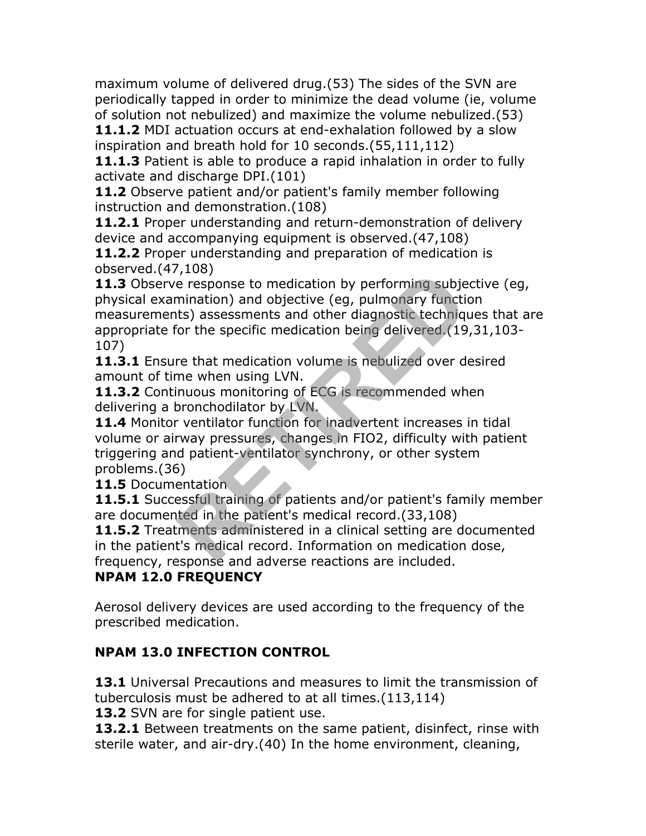maximum volume of delivered drug.(53) The sides of the SVN are periodically tapped in order to minimize the dead volume (ie, volume of solution not nebulized) and maximize the volume nebulized.(53)

**11.1.2** MDI actuation occurs at end-exhalation followed by a slow inspiration and breath hold for 10 seconds.(55,111,112)

**11.1.3** Patient is able to produce a rapid inhalation in order to fully activate and discharge DPI.(101)

**11.2** Observe patient and/or patient's family member following instruction and demonstration.(108)

**11.2.1** Proper understanding and return-demonstration of delivery device and accompanying equipment is observed.(47,108)

**11.2.2** Proper understanding and preparation of medication is observed.(47,108)

**11.3** Observe response to medication by performing subjective (eg, physical examination) and objective (eg, pulmonary function measurements) assessments and other diagnostic techniques that are appropriate for the specific medication being delivered.(19,31,103- 107) From the medication by performing subjet (eg, pulmonary functits) assessments and other diagnostic techniqual for the specific medication being delivered. (19 re that medication volume is nebulized over due when using LVN.

**11.3.1** Ensure that medication volume is nebulized over desired amount of time when using LVN.

**11.3.2** Continuous monitoring of ECG is recommended when delivering a bronchodilator by LVN.

**11.4** Monitor ventilator function for inadvertent increases in tidal volume or airway pressures, changes in FIO2, difficulty with patient triggering and patient-ventilator synchrony, or other system problems.(36)

**11.5** Documentation

**11.5.1** Successful training of patients and/or patient's family member are documented in the patient's medical record.(33,108)

**11.5.2** Treatments administered in a clinical setting are documented in the patient's medical record. Information on medication dose, frequency, response and adverse reactions are included.

## **NPAM 12.0 FREQUENCY**

Aerosol delivery devices are used according to the frequency of the prescribed medication.

## **NPAM 13.0 INFECTION CONTROL**

**13.1** Universal Precautions and measures to limit the transmission of tuberculosis must be adhered to at all times.(113,114)

**13.2** SVN are for single patient use.

**13.2.1** Between treatments on the same patient, disinfect, rinse with sterile water, and air-dry.(40) In the home environment, cleaning,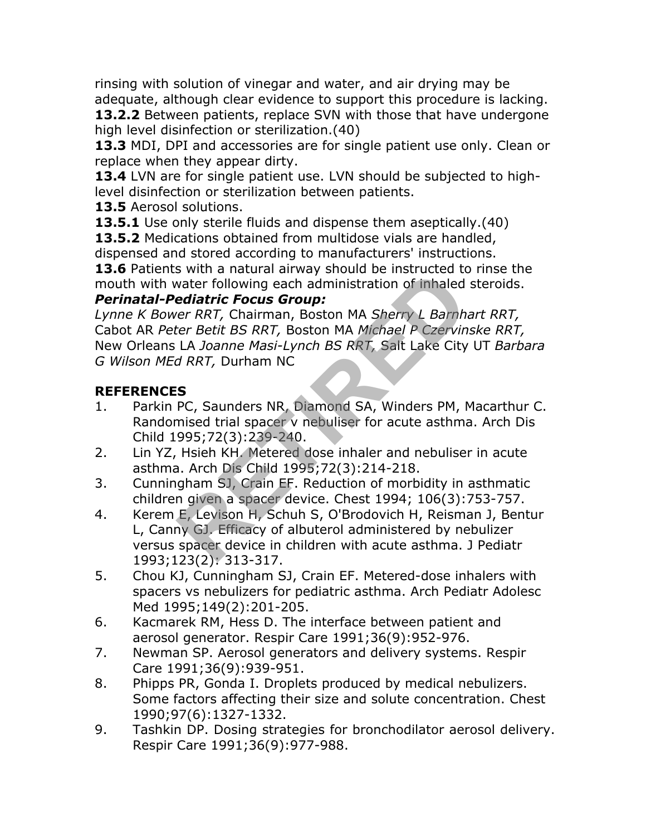rinsing with solution of vinegar and water, and air drying may be adequate, although clear evidence to support this procedure is lacking.

**13.2.2** Between patients, replace SVN with those that have undergone high level disinfection or sterilization.(40)

**13.3** MDI, DPI and accessories are for single patient use only. Clean or replace when they appear dirty.

**13.4** LVN are for single patient use. LVN should be subjected to highlevel disinfection or sterilization between patients.

**13.5** Aerosol solutions.

**13.5.1** Use only sterile fluids and dispense them aseptically.(40)

**13.5.2** Medications obtained from multidose vials are handled, dispensed and stored according to manufacturers' instructions.

**13.6** Patients with a natural airway should be instructed to rinse the mouth with water following each administration of inhaled steroids.

#### *Perinatal-Pediatric Focus Group:*

*Lynne K Bower RRT,* Chairman, Boston MA *Sherry L Barnhart RRT,* Cabot AR *Peter Betit BS RRT,* Boston MA *Michael P Czervinske RRT,* New Orleans LA *Joanne Masi-Lynch BS RRT,* Salt Lake City UT *Barbara G Wilson MEd RRT,* Durham NC water following each administration of inhaled<br>
ediatric Focus Group:<br>
er RRT, Chairman, Boston MA Sherry L Barnha<br>
ter Betit BS RRT, Boston MA Michael P Czervin<br>
LA Joanne Masi-Lynch BS RRT, Salt Lake City<br>
d RRT, Durham

## **REFERENCES**

- 1. Parkin PC, Saunders NR, Diamond SA, Winders PM, Macarthur C. Randomised trial spacer v nebuliser for acute asthma. Arch Dis Child 1995;72(3):239-240.
- 2. Lin YZ, Hsieh KH. Metered dose inhaler and nebuliser in acute asthma. Arch Dis Child 1995;72(3):214-218.
- 3. Cunningham SJ, Crain EF. Reduction of morbidity in asthmatic children given a spacer device. Chest 1994; 106(3):753-757.
- 4. Kerem E, Levison H, Schuh S, O'Brodovich H, Reisman J, Bentur L, Canny GJ. Efficacy of albuterol administered by nebulizer versus spacer device in children with acute asthma. J Pediatr 1993;123(2): 313-317.
- 5. Chou KJ, Cunningham SJ, Crain EF. Metered-dose inhalers with spacers vs nebulizers for pediatric asthma. Arch Pediatr Adolesc Med 1995;149(2):201-205.
- 6. Kacmarek RM, Hess D. The interface between patient and aerosol generator. Respir Care 1991;36(9):952-976.
- 7. Newman SP. Aerosol generators and delivery systems. Respir Care 1991;36(9):939-951.
- 8. Phipps PR, Gonda I. Droplets produced by medical nebulizers. Some factors affecting their size and solute concentration. Chest 1990;97(6):1327-1332.
- 9. Tashkin DP. Dosing strategies for bronchodilator aerosol delivery. Respir Care 1991;36(9):977-988.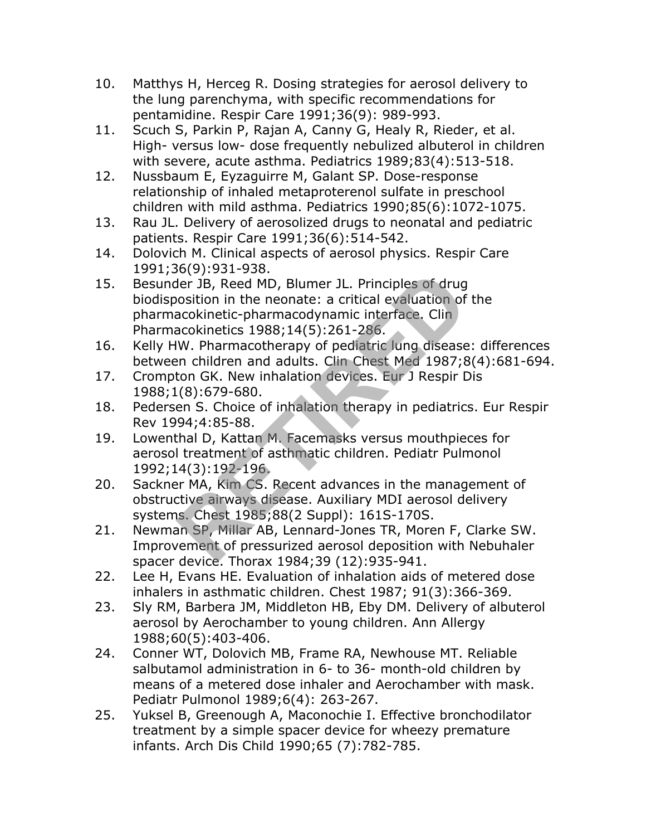- 10. Matthys H, Herceg R. Dosing strategies for aerosol delivery to the lung parenchyma, with specific recommendations for pentamidine. Respir Care 1991;36(9): 989-993.
- 11. Scuch S, Parkin P, Rajan A, Canny G, Healy R, Rieder, et al. High- versus low- dose frequently nebulized albuterol in children with severe, acute asthma. Pediatrics 1989;83(4):513-518.
- 12. Nussbaum E, Eyzaguirre M, Galant SP. Dose-response relationship of inhaled metaproterenol sulfate in preschool children with mild asthma. Pediatrics 1990;85(6):1072-1075.
- 13. Rau JL. Delivery of aerosolized drugs to neonatal and pediatric patients. Respir Care 1991;36(6):514-542.
- 14. Dolovich M. Clinical aspects of aerosol physics. Respir Care 1991;36(9):931-938.
- 15. Besunder JB, Reed MD, Blumer JL. Principles of drug biodisposition in the neonate: a critical evaluation of the pharmacokinetic-pharmacodynamic interface. Clin Pharmacokinetics 1988;14(5):261-286. 18, Reed MD, Blumer JL. Principles of drug<br>osition in the neonate: a critical evaluation of<br>acokinetic-pharmacodynamic interface. Clin<br>acokinetics 1988;14(5):261-286.<br>W. Pharmacotherapy of pediatric lung disease<br>en childre
- 16. Kelly HW. Pharmacotherapy of pediatric lung disease: differences between children and adults. Clin Chest Med 1987;8(4):681-694.
- 17. Crompton GK. New inhalation devices. Eur J Respir Dis 1988;1(8):679-680.
- 18. Pedersen S. Choice of inhalation therapy in pediatrics. Eur Respir Rev 1994;4:85-88.
- 19. Lowenthal D, Kattan M. Facemasks versus mouthpieces for aerosol treatment of asthmatic children. Pediatr Pulmonol 1992;14(3):192-196.
- 20. Sackner MA, Kim CS. Recent advances in the management of obstructive airways disease. Auxiliary MDI aerosol delivery systems. Chest 1985;88(2 Suppl): 161S-170S.
- 21. Newman SP, Millar AB, Lennard-Jones TR, Moren F, Clarke SW. Improvement of pressurized aerosol deposition with Nebuhaler spacer device. Thorax 1984;39 (12):935-941.
- 22. Lee H, Evans HE. Evaluation of inhalation aids of metered dose inhalers in asthmatic children. Chest 1987; 91(3):366-369.
- 23. Sly RM, Barbera JM, Middleton HB, Eby DM. Delivery of albuterol aerosol by Aerochamber to young children. Ann Allergy 1988;60(5):403-406.
- 24. Conner WT, Dolovich MB, Frame RA, Newhouse MT. Reliable salbutamol administration in 6- to 36- month-old children by means of a metered dose inhaler and Aerochamber with mask. Pediatr Pulmonol 1989;6(4): 263-267.
- 25. Yuksel B, Greenough A, Maconochie I. Effective bronchodilator treatment by a simple spacer device for wheezy premature infants. Arch Dis Child 1990;65 (7):782-785.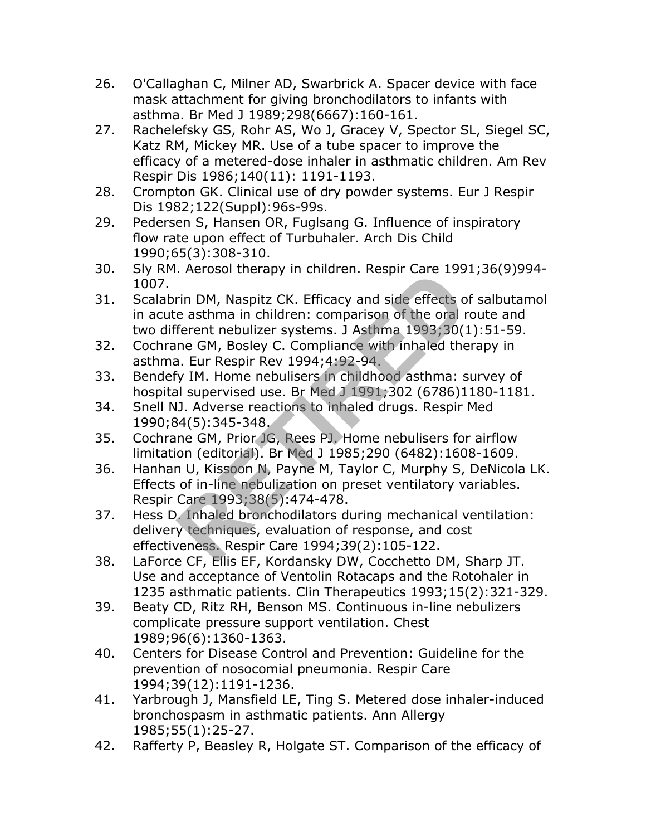- 26. O'Callaghan C, Milner AD, Swarbrick A. Spacer device with face mask attachment for giving bronchodilators to infants with asthma. Br Med J 1989;298(6667):160-161.
- 27. Rachelefsky GS, Rohr AS, Wo J, Gracey V, Spector SL, Siegel SC, Katz RM, Mickey MR. Use of a tube spacer to improve the efficacy of a metered-dose inhaler in asthmatic children. Am Rev Respir Dis 1986;140(11): 1191-1193.
- 28. Crompton GK. Clinical use of dry powder systems. Eur J Respir Dis 1982;122(Suppl):96s-99s.
- 29. Pedersen S, Hansen OR, Fuglsang G. Influence of inspiratory flow rate upon effect of Turbuhaler. Arch Dis Child 1990;65(3):308-310.
- 30. Sly RM. Aerosol therapy in children. Respir Care 1991;36(9)994- 1007.
- 31. Scalabrin DM, Naspitz CK. Efficacy and side effects of salbutamol in acute asthma in children: comparison of the oral route and two different nebulizer systems. J Asthma 1993;30(1):51-59. Frin DM, Naspitz CK. Efficacy and side effects on easthma in children: comparison of the oral r<br>ferent nebulizer systems. J Asthma 1993;30(1<br>ne GM, Bosley C. Compliance with inhaled the<br>a. Eur Respir Rev 1994;4:92-94.<br>y IM
- 32. Cochrane GM, Bosley C. Compliance with inhaled therapy in asthma. Eur Respir Rev 1994;4:92-94.
- 33. Bendefy IM. Home nebulisers in childhood asthma: survey of hospital supervised use. Br Med J 1991;302 (6786)1180-1181.
- 34. Snell NJ. Adverse reactions to inhaled drugs. Respir Med 1990;84(5):345-348.
- 35. Cochrane GM, Prior JG, Rees PJ. Home nebulisers for airflow limitation (editorial). Br Med J 1985;290 (6482):1608-1609.
- 36. Hanhan U, Kissoon N, Payne M, Taylor C, Murphy S, DeNicola LK. Effects of in-line nebulization on preset ventilatory variables. Respir Care 1993;38(5):474-478.
- 37. Hess D. Inhaled bronchodilators during mechanical ventilation: delivery techniques, evaluation of response, and cost effectiveness. Respir Care 1994;39(2):105-122.
- 38. LaForce CF, Ellis EF, Kordansky DW, Cocchetto DM, Sharp JT. Use and acceptance of Ventolin Rotacaps and the Rotohaler in 1235 asthmatic patients. Clin Therapeutics 1993;15(2):321-329.
- 39. Beaty CD, Ritz RH, Benson MS. Continuous in-line nebulizers complicate pressure support ventilation. Chest 1989;96(6):1360-1363.
- 40. Centers for Disease Control and Prevention: Guideline for the prevention of nosocomial pneumonia. Respir Care 1994;39(12):1191-1236.
- 41. Yarbrough J, Mansfield LE, Ting S. Metered dose inhaler-induced bronchospasm in asthmatic patients. Ann Allergy 1985;55(1):25-27.
- 42. Rafferty P, Beasley R, Holgate ST. Comparison of the efficacy of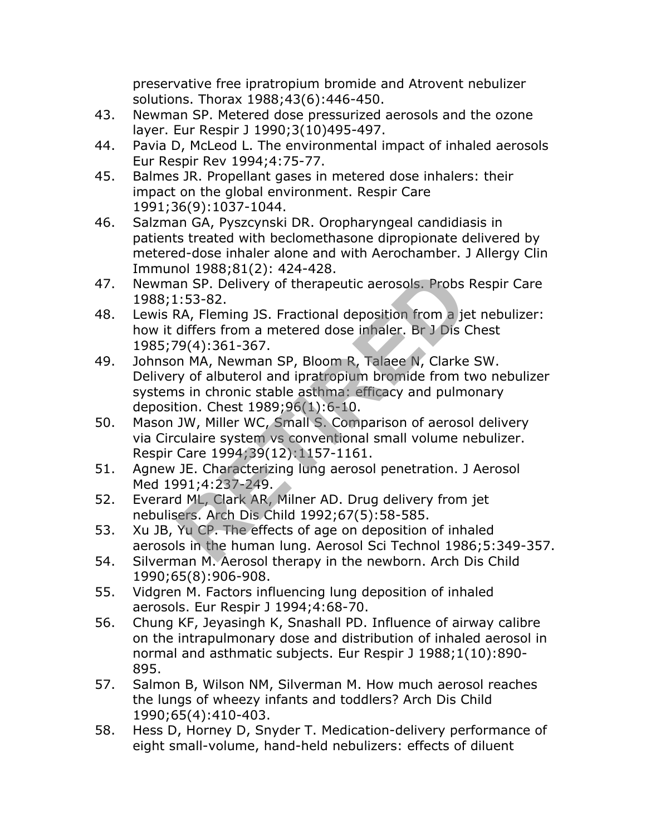preservative free ipratropium bromide and Atrovent nebulizer solutions. Thorax 1988;43(6):446-450.

- 43. Newman SP. Metered dose pressurized aerosols and the ozone layer. Eur Respir J 1990;3(10)495-497.
- 44. Pavia D, McLeod L. The environmental impact of inhaled aerosols Eur Respir Rev 1994;4:75-77.
- 45. Balmes JR. Propellant gases in metered dose inhalers: their impact on the global environment. Respir Care 1991;36(9):1037-1044.
- 46. Salzman GA, Pyszcynski DR. Oropharyngeal candidiasis in patients treated with beclomethasone dipropionate delivered by metered-dose inhaler alone and with Aerochamber. J Allergy Clin Immunol 1988;81(2): 424-428.
- 47. Newman SP. Delivery of therapeutic aerosols. Probs Respir Care 1988;1:53-82.
- 48. Lewis RA, Fleming JS. Fractional deposition from a jet nebulizer: how it differs from a metered dose inhaler. Br J Dis Chest 1985;79(4):361-367.
- 49. Johnson MA, Newman SP, Bloom R, Talaee N, Clarke SW. Delivery of albuterol and ipratropium bromide from two nebulizer systems in chronic stable asthma: efficacy and pulmonary deposition. Chest 1989;96(1):6-10. **RETIRED**
- 50. Mason JW, Miller WC, Small S. Comparison of aerosol delivery via Circulaire system vs conventional small volume nebulizer. Respir Care 1994;39(12):1157-1161.
- 51. Agnew JE. Characterizing lung aerosol penetration. J Aerosol Med 1991;4:237-249.
- 52. Everard ML, Clark AR, Milner AD. Drug delivery from jet nebulisers. Arch Dis Child 1992;67(5):58-585.
- 53. Xu JB, Yu CP. The effects of age on deposition of inhaled aerosols in the human lung. Aerosol Sci Technol 1986;5:349-357.
- 54. Silverman M. Aerosol therapy in the newborn. Arch Dis Child 1990;65(8):906-908.
- 55. Vidgren M. Factors influencing lung deposition of inhaled aerosols. Eur Respir J 1994;4:68-70.
- 56. Chung KF, Jeyasingh K, Snashall PD. Influence of airway calibre on the intrapulmonary dose and distribution of inhaled aerosol in normal and asthmatic subjects. Eur Respir J 1988;1(10):890- 895.
- 57. Salmon B, Wilson NM, Silverman M. How much aerosol reaches the lungs of wheezy infants and toddlers? Arch Dis Child 1990;65(4):410-403.
- 58. Hess D, Horney D, Snyder T. Medication-delivery performance of eight small-volume, hand-held nebulizers: effects of diluent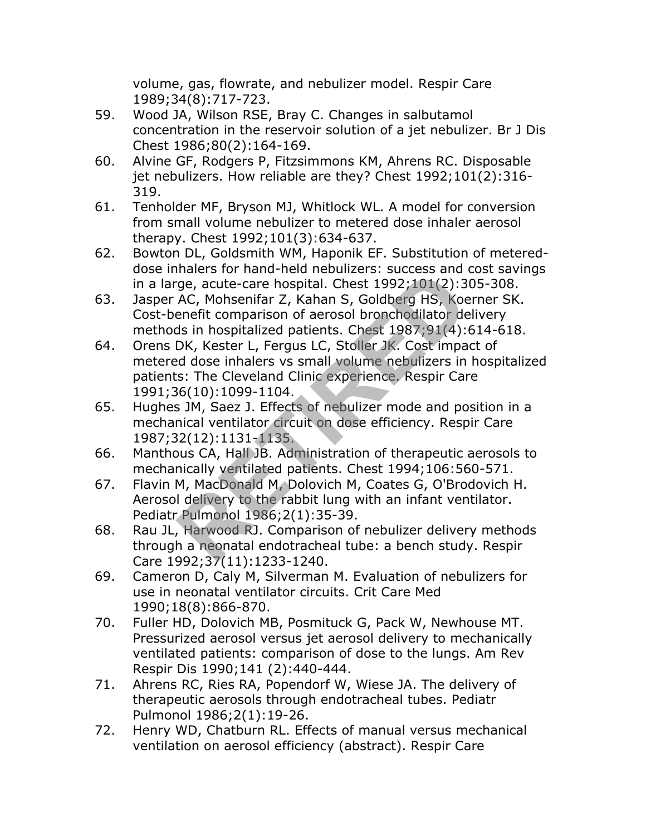volume, gas, flowrate, and nebulizer model. Respir Care 1989;34(8):717-723.

- 59. Wood JA, Wilson RSE, Bray C. Changes in salbutamol concentration in the reservoir solution of a jet nebulizer. Br J Dis Chest 1986;80(2):164-169.
- 60. Alvine GF, Rodgers P, Fitzsimmons KM, Ahrens RC. Disposable jet nebulizers. How reliable are they? Chest 1992;101(2):316- 319.
- 61. Tenholder MF, Bryson MJ, Whitlock WL. A model for conversion from small volume nebulizer to metered dose inhaler aerosol therapy. Chest 1992;101(3):634-637.
- 62. Bowton DL, Goldsmith WM, Haponik EF. Substitution of metereddose inhalers for hand-held nebulizers: success and cost savings in a large, acute-care hospital. Chest 1992;101(2):305-308.
- 63. Jasper AC, Mohsenifar Z, Kahan S, Goldberg HS, Koerner SK. Cost-benefit comparison of aerosol bronchodilator delivery methods in hospitalized patients. Chest 1987;91(4):614-618.
- 64. Orens DK, Kester L, Fergus LC, Stoller JK. Cost impact of metered dose inhalers vs small volume nebulizers in hospitalized patients: The Cleveland Clinic experience. Respir Care 1991;36(10):1099-1104. rianal end neural end neural states and spaces and spaces and spaces and spaces and spaces and spaces and the comparison of aerosol bronchodilator des in hospitalized patients. Chest 1987;91(4):<br>DK, Kester L, Fergus LC, St
- 65. Hughes JM, Saez J. Effects of nebulizer mode and position in a mechanical ventilator circuit on dose efficiency. Respir Care 1987;32(12):1131-1135.
- 66. Manthous CA, Hall JB. Administration of therapeutic aerosols to mechanically ventilated patients. Chest 1994;106:560-571.
- 67. Flavin M, MacDonald M, Dolovich M, Coates G, O'Brodovich H. Aerosol delivery to the rabbit lung with an infant ventilator. Pediatr Pulmonol 1986;2(1):35-39.
- 68. Rau JL, Harwood RJ. Comparison of nebulizer delivery methods through a neonatal endotracheal tube: a bench study. Respir Care 1992;37(11):1233-1240.
- 69. Cameron D, Caly M, Silverman M. Evaluation of nebulizers for use in neonatal ventilator circuits. Crit Care Med 1990;18(8):866-870.
- 70. Fuller HD, Dolovich MB, Posmituck G, Pack W, Newhouse MT. Pressurized aerosol versus jet aerosol delivery to mechanically ventilated patients: comparison of dose to the lungs. Am Rev Respir Dis 1990;141 (2):440-444.
- 71. Ahrens RC, Ries RA, Popendorf W, Wiese JA. The delivery of therapeutic aerosols through endotracheal tubes. Pediatr Pulmonol 1986;2(1):19-26.
- 72. Henry WD, Chatburn RL. Effects of manual versus mechanical ventilation on aerosol efficiency (abstract). Respir Care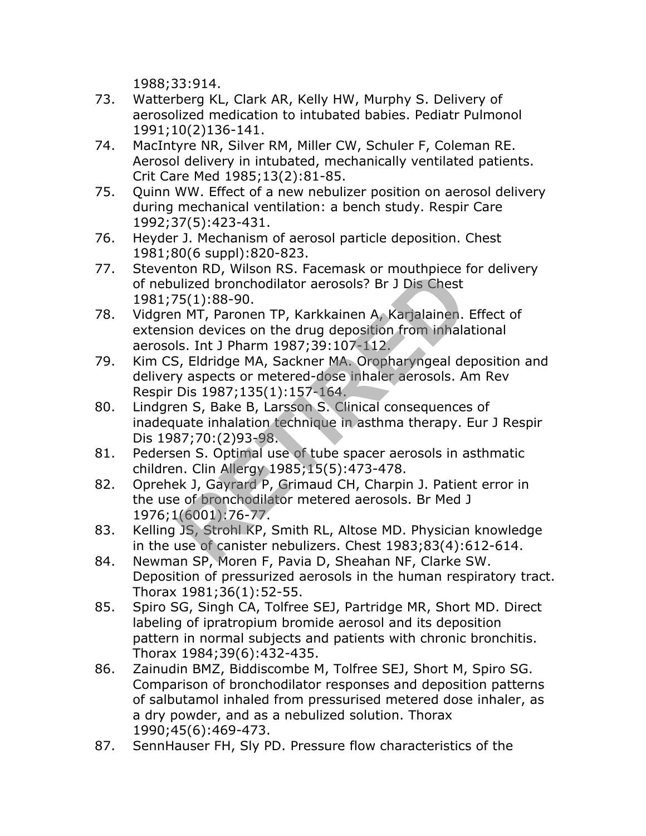1988;33:914.

- 73. Watterberg KL, Clark AR, Kelly HW, Murphy S. Delivery of aerosolized medication to intubated babies. Pediatr Pulmonol 1991;10(2)136-141.
- 74. MacIntyre NR, Silver RM, Miller CW, Schuler F, Coleman RE. Aerosol delivery in intubated, mechanically ventilated patients. Crit Care Med 1985;13(2):81-85.
- 75. Quinn WW. Effect of a new nebulizer position on aerosol delivery during mechanical ventilation: a bench study. Respir Care 1992;37(5):423-431.
- 76. Heyder J. Mechanism of aerosol particle deposition. Chest 1981;80(6 suppl):820-823.
- 77. Steventon RD, Wilson RS. Facemask or mouthpiece for delivery of nebulized bronchodilator aerosols? Br J Dis Chest 1981;75(1):88-90.
- 78. Vidgren MT, Paronen TP, Karkkainen A, Karjalainen. Effect of extension devices on the drug deposition from inhalational aerosols. Int J Pharm 1987;39:107-112.
- 79. Kim CS, Eldridge MA, Sackner MA. Oropharyngeal deposition and delivery aspects or metered-dose inhaler aerosols. Am Rev Respir Dis 1987;135(1):157-164.
- 80. Lindgren S, Bake B, Larsson S. Clinical consequences of inadequate inhalation technique in asthma therapy. Eur J Respir Dis 1987;70:(2)93-98. Ilized bronchodilator aerosols? Br J Dis Chest<br>5(1):88-90.<br>The Transmitter are also as the diversion of the diversion of the diversion of the diversion from inhala<br>Is. Int J Pharm 1987;39:107-112.<br>Figure MA, Sackner MA. Or
- 81. Pedersen S. Optimal use of tube spacer aerosols in asthmatic children. Clin Allergy 1985;15(5):473-478.
- 82. Oprehek J, Gayrard P, Grimaud CH, Charpin J. Patient error in the use of bronchodilator metered aerosols. Br Med J 1976;1(6001):76-77.
- 83. Kelling JS, Strohl KP, Smith RL, Altose MD. Physician knowledge in the use of canister nebulizers. Chest 1983;83(4):612-614.
- 84. Newman SP, Moren F, Pavia D, Sheahan NF, Clarke SW. Deposition of pressurized aerosols in the human respiratory tract. Thorax 1981;36(1):52-55.
- 85. Spiro SG, Singh CA, Tolfree SEJ, Partridge MR, Short MD. Direct labeling of ipratropium bromide aerosol and its deposition pattern in normal subjects and patients with chronic bronchitis. Thorax 1984;39(6):432-435.
- 86. Zainudin BMZ, Biddiscombe M, Tolfree SEJ, Short M, Spiro SG. Comparison of bronchodilator responses and deposition patterns of salbutamol inhaled from pressurised metered dose inhaler, as a dry powder, and as a nebulized solution. Thorax 1990;45(6):469-473.
- 87. SennHauser FH, Sly PD. Pressure flow characteristics of the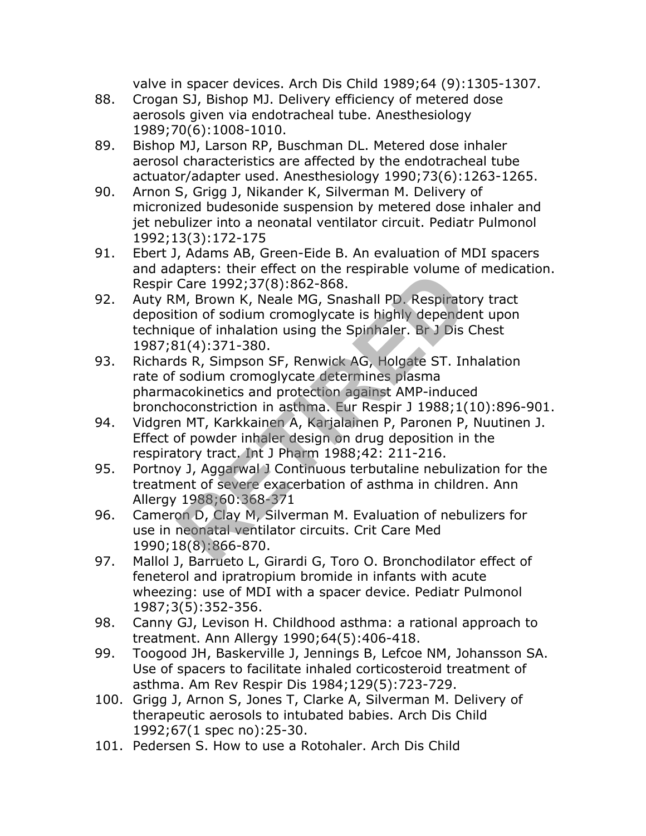valve in spacer devices. Arch Dis Child 1989;64 (9):1305-1307.

- 88. Crogan SJ, Bishop MJ. Delivery efficiency of metered dose aerosols given via endotracheal tube. Anesthesiology 1989;70(6):1008-1010.
- 89. Bishop MJ, Larson RP, Buschman DL. Metered dose inhaler aerosol characteristics are affected by the endotracheal tube actuator/adapter used. Anesthesiology 1990;73(6):1263-1265.
- 90. Arnon S, Grigg J, Nikander K, Silverman M. Delivery of micronized budesonide suspension by metered dose inhaler and jet nebulizer into a neonatal ventilator circuit. Pediatr Pulmonol 1992;13(3):172-175
- 91. Ebert J, Adams AB, Green-Eide B. An evaluation of MDI spacers and adapters: their effect on the respirable volume of medication. Respir Care 1992;37(8):862-868.
- 92. Auty RM, Brown K, Neale MG, Snashall PD. Respiratory tract deposition of sodium cromoglycate is highly dependent upon technique of inhalation using the Spinhaler. Br J Dis Chest 1987;81(4):371-380. apters: then enect of the respirable volume to<br>Care 1992;37(8):862-868.<br>M, Brown K, Neale MG, Snashall PD. Respirate<br>tion of sodium cromoglycate is highly depende<br>que of inhalation using the Spinhaler. Br J Dis<br> $31(4):371-3$
- 93. Richards R, Simpson SF, Renwick AG, Holgate ST. Inhalation rate of sodium cromoglycate determines plasma pharmacokinetics and protection against AMP-induced bronchoconstriction in asthma. Eur Respir J 1988;1(10):896-901.
- 94. Vidgren MT, Karkkainen A, Karjalainen P, Paronen P, Nuutinen J. Effect of powder inhaler design on drug deposition in the respiratory tract. Int J Pharm 1988;42: 211-216.
- 95. Portnoy J, Aggarwal J Continuous terbutaline nebulization for the treatment of severe exacerbation of asthma in children. Ann Allergy 1988;60:368-371
- 96. Cameron D, Clay M, Silverman M. Evaluation of nebulizers for use in neonatal ventilator circuits. Crit Care Med 1990;18(8):866-870.
- 97. Mallol J, Barrueto L, Girardi G, Toro O. Bronchodilator effect of feneterol and ipratropium bromide in infants with acute wheezing: use of MDI with a spacer device. Pediatr Pulmonol 1987;3(5):352-356.
- 98. Canny GJ, Levison H. Childhood asthma: a rational approach to treatment. Ann Allergy 1990;64(5):406-418.
- 99. Toogood JH, Baskerville J, Jennings B, Lefcoe NM, Johansson SA. Use of spacers to facilitate inhaled corticosteroid treatment of asthma. Am Rev Respir Dis 1984;129(5):723-729.
- 100. Grigg J, Arnon S, Jones T, Clarke A, Silverman M. Delivery of therapeutic aerosols to intubated babies. Arch Dis Child 1992;67(1 spec no):25-30.
- 101. Pedersen S. How to use a Rotohaler. Arch Dis Child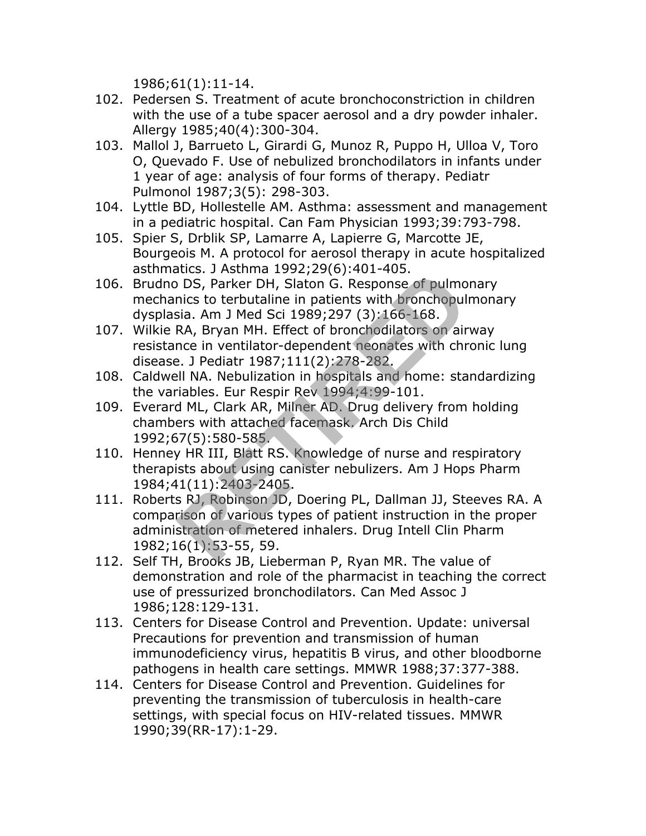1986;61(1):11-14.

- 102. Pedersen S. Treatment of acute bronchoconstriction in children with the use of a tube spacer aerosol and a dry powder inhaler. Allergy 1985;40(4):300-304.
- 103. Mallol J, Barrueto L, Girardi G, Munoz R, Puppo H, Ulloa V, Toro O, Quevado F. Use of nebulized bronchodilators in infants under 1 year of age: analysis of four forms of therapy. Pediatr Pulmonol 1987;3(5): 298-303.
- 104. Lyttle BD, Hollestelle AM. Asthma: assessment and management in a pediatric hospital. Can Fam Physician 1993;39:793-798.
- 105. Spier S, Drblik SP, Lamarre A, Lapierre G, Marcotte JE, Bourgeois M. A protocol for aerosol therapy in acute hospitalized asthmatics. J Asthma 1992;29(6):401-405.
- 106. Brudno DS, Parker DH, Slaton G. Response of pulmonary mechanics to terbutaline in patients with bronchopulmonary dysplasia. Am J Med Sci 1989;297 (3):166-168.
- 107. Wilkie RA, Bryan MH. Effect of bronchodilators on airway resistance in ventilator-dependent neonates with chronic lung disease. J Pediatr 1987;111(2):278-282.
- 108. Caldwell NA. Nebulization in hospitals and home: standardizing the variables. Eur Respir Rev 1994;4:99-101.
- 109. Everard ML, Clark AR, Milner AD. Drug delivery from holding chambers with attached facemask. Arch Dis Child 1992;67(5):580-585.
- 110. Henney HR III, Blatt RS. Knowledge of nurse and respiratory therapists about using canister nebulizers. Am J Hops Pharm 1984;41(11):2403-2405.
- 111. Roberts RJ, Robinson JD, Doering PL, Dallman JJ, Steeves RA. A comparison of various types of patient instruction in the proper administration of metered inhalers. Drug Intell Clin Pharm 1982;16(1):53-55, 59. of DS, Parker DH, Slaton G. Response of pulmo<br>nics to terbutaline in patients with bronchopul<br>sia. Am J Med Sci 1989;297 (3):166-168.<br>RA, Bryan MH. Effect of bronchodilators on air<br>nce in ventilator-dependent neonates with
- 112. Self TH, Brooks JB, Lieberman P, Ryan MR. The value of demonstration and role of the pharmacist in teaching the correct use of pressurized bronchodilators. Can Med Assoc J 1986;128:129-131.
- 113. Centers for Disease Control and Prevention. Update: universal Precautions for prevention and transmission of human immunodeficiency virus, hepatitis B virus, and other bloodborne pathogens in health care settings. MMWR 1988;37:377-388.
- 114. Centers for Disease Control and Prevention. Guidelines for preventing the transmission of tuberculosis in health-care settings, with special focus on HIV-related tissues. MMWR 1990;39(RR-17):1-29.